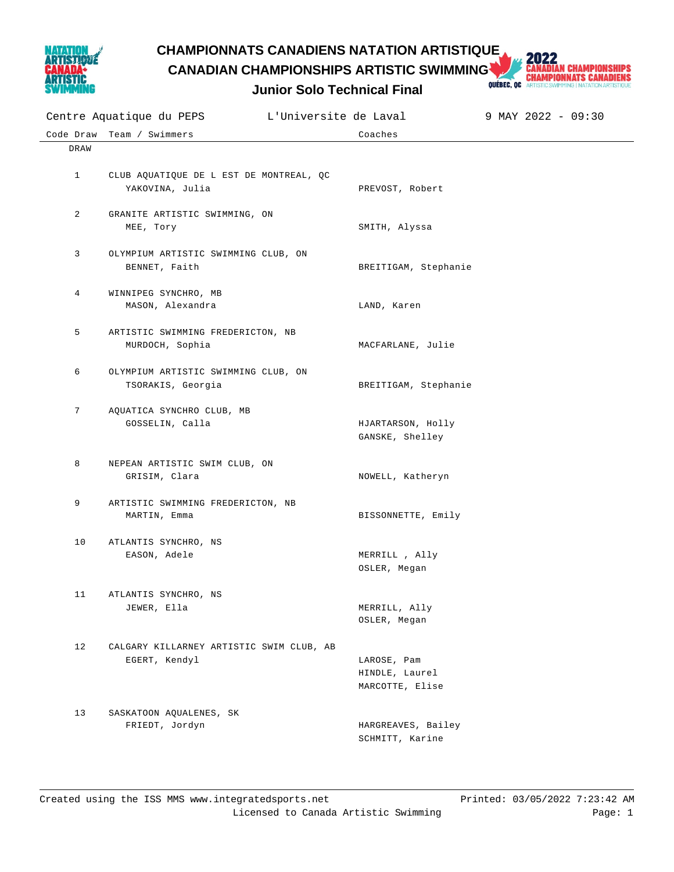

### **CHAMPIONNATS CANADIENS NATATION ARTISTIQUE**

**Junior Solo Technical Final**



| Code Draw    | Team / Swimmers                                            | Coaches                                          |
|--------------|------------------------------------------------------------|--------------------------------------------------|
| DRAW         |                                                            |                                                  |
| $\mathbf{1}$ | CLUB AQUATIQUE DE L EST DE MONTREAL, QC<br>YAKOVINA, Julia | PREVOST, Robert                                  |
| 2            | GRANITE ARTISTIC SWIMMING, ON<br>MEE, Tory                 | SMITH, Alyssa                                    |
| 3            | OLYMPIUM ARTISTIC SWIMMING CLUB, ON<br>BENNET, Faith       | BREITIGAM, Stephanie                             |
| 4            | WINNIPEG SYNCHRO, MB<br>MASON, Alexandra                   | LAND, Karen                                      |
| 5            | ARTISTIC SWIMMING FREDERICTON, NB<br>MURDOCH, Sophia       | MACFARLANE, Julie                                |
| 6            | OLYMPIUM ARTISTIC SWIMMING CLUB, ON<br>TSORAKIS, Georgia   | BREITIGAM, Stephanie                             |
| 7            | AQUATICA SYNCHRO CLUB, MB<br>GOSSELIN, Calla               | HJARTARSON, Holly<br>GANSKE, Shelley             |
| 8            | NEPEAN ARTISTIC SWIM CLUB, ON<br>GRISIM, Clara             | NOWELL, Katheryn                                 |
| 9            | ARTISTIC SWIMMING FREDERICTON, NB<br>MARTIN, Emma          | BISSONNETTE, Emily                               |
| 10           | ATLANTIS SYNCHRO, NS<br>EASON, Adele                       | MERRILL , Ally<br>OSLER, Megan                   |
| 11           | ATLANTIS SYNCHRO, NS<br>JEWER, Ella                        | MERRILL, Ally<br>OSLER, Megan                    |
| 12           | CALGARY KILLARNEY ARTISTIC SWIM CLUB, AB<br>EGERT, Kendyl  | LAROSE, Pam<br>HINDLE, Laurel<br>MARCOTTE, Elise |
| 13           | SASKATOON AQUALENES, SK<br>FRIEDT, Jordyn                  | HARGREAVES, Bailey<br>SCHMITT, Karine            |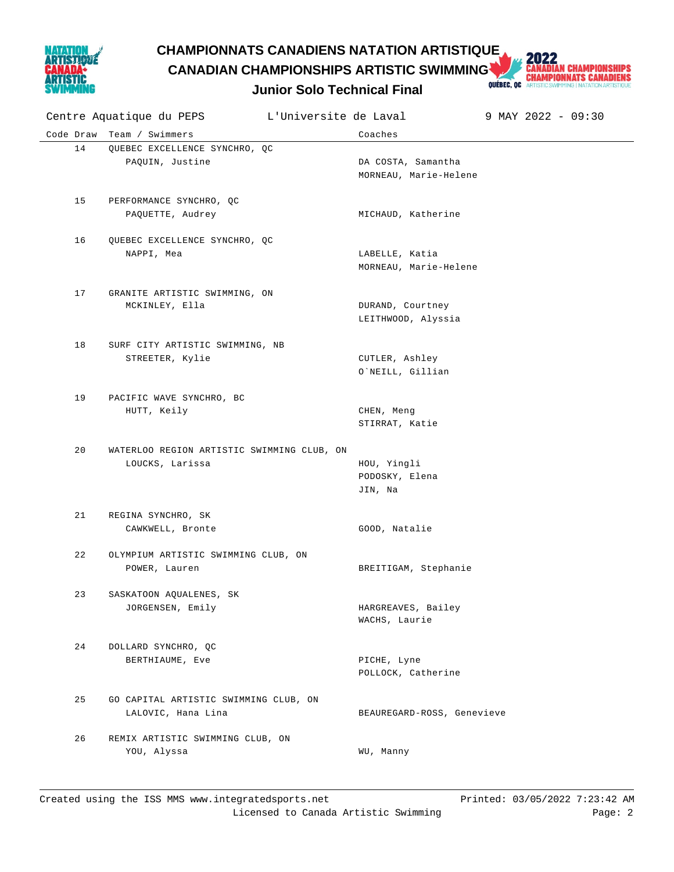

## **CHAMPIONNATS CANADIENS NATATION ARTISTIQUE<br>CANADIAN CHAMPIONSHIPS ARTISTIC SWIMMING AND CHAMPIONNATS CANADIENS<br>Lunior Solo Technical Final Dubbec, or artistics Membrical Particular Schapion CANADIAN CHAMPIONSHIPS ARTISTIC SWIMMING**

#### **Junior Solo Technical Final**

|    | Centre Aquatique du PEPS L'Universite de Laval                |                                             | 9 MAY 2022 - 09:30 |
|----|---------------------------------------------------------------|---------------------------------------------|--------------------|
|    | Code Draw Team / Swimmers                                     | Coaches                                     |                    |
| 14 | QUEBEC EXCELLENCE SYNCHRO, QC<br>PAQUIN, Justine              | DA COSTA, Samantha<br>MORNEAU, Marie-Helene |                    |
| 15 | PERFORMANCE SYNCHRO, QC<br>PAQUETTE, Audrey                   | MICHAUD, Katherine                          |                    |
| 16 | QUEBEC EXCELLENCE SYNCHRO, QC<br>NAPPI, Mea                   | LABELLE, Katia<br>MORNEAU, Marie-Helene     |                    |
| 17 | GRANITE ARTISTIC SWIMMING, ON<br>MCKINLEY, Ella               | DURAND, Courtney<br>LEITHWOOD, Alyssia      |                    |
| 18 | SURF CITY ARTISTIC SWIMMING, NB<br>STREETER, Kylie            | CUTLER, Ashley<br>O`NEILL, Gillian          |                    |
| 19 | PACIFIC WAVE SYNCHRO, BC<br>HUTT, Keily                       | CHEN, Meng<br>STIRRAT, Katie                |                    |
| 20 | WATERLOO REGION ARTISTIC SWIMMING CLUB, ON<br>LOUCKS, Larissa | HOU, Yingli<br>PODOSKY, Elena<br>JIN, Na    |                    |
| 21 | REGINA SYNCHRO, SK<br>CAWKWELL, Bronte                        | GOOD, Natalie                               |                    |
| 22 | OLYMPIUM ARTISTIC SWIMMING CLUB, ON<br>POWER, Lauren          | BREITIGAM, Stephanie                        |                    |
| 23 | SASKATOON AQUALENES, SK<br>JORGENSEN, Emily                   | HARGREAVES, Bailey<br>WACHS, Laurie         |                    |
| 24 | DOLLARD SYNCHRO, QC<br>BERTHIAUME, Eve                        | PICHE, Lyne<br>POLLOCK, Catherine           |                    |
| 25 | GO CAPITAL ARTISTIC SWIMMING CLUB, ON<br>LALOVIC, Hana Lina   | BEAUREGARD-ROSS, Genevieve                  |                    |
| 26 | REMIX ARTISTIC SWIMMING CLUB, ON<br>YOU, Alyssa               | WU, Manny                                   |                    |